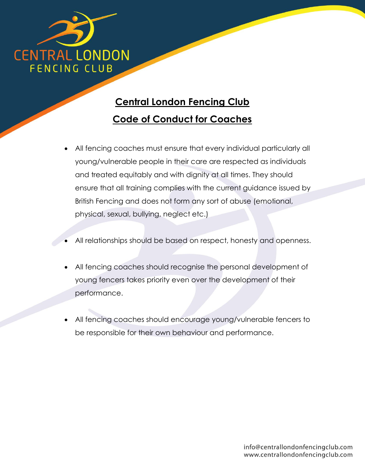

## **Central London Fencing Club Code of Conduct for Coaches**

- All fencing coaches must ensure that every individual particularly all young/vulnerable people in their care are respected as individuals and treated equitably and with dignity at all times. They should ensure that all training complies with the current guidance issued by British Fencing and does not form any sort of abuse (emotional, physical, sexual, bullying, neglect etc.)
- All relationships should be based on respect, honesty and openness.
- All fencing coaches should recognise the personal development of young fencers takes priority even over the development of their performance.
- All fencing coaches should encourage young/vulnerable fencers to be responsible for their own behaviour and performance.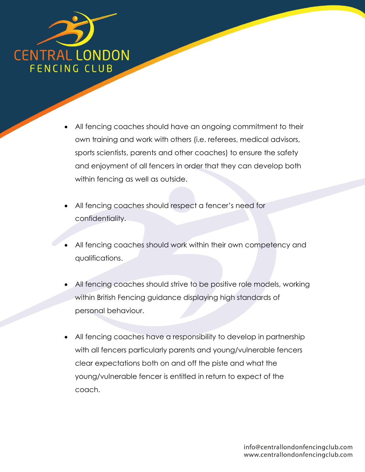

- All fencing coaches should have an ongoing commitment to their own training and work with others (i.e. referees, medical advisors, sports scientists, parents and other coaches) to ensure the safety and enjoyment of all fencers in order that they can develop both within fencing as well as outside.
- All fencing coaches should respect a fencer's need for confidentiality.
- All fencing coaches should work within their own competency and qualifications.
- All fencing coaches should strive to be positive role models, working within British Fencing guidance displaying high standards of personal behaviour.
- All fencing coaches have a responsibility to develop in partnership with all fencers particularly parents and young/vulnerable fencers clear expectations both on and off the piste and what the young/vulnerable fencer is entitled in return to expect of the coach.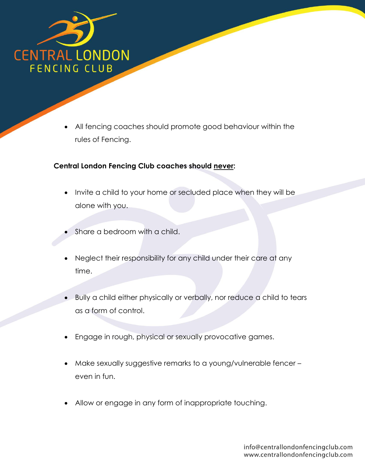

 All fencing coaches should promote good behaviour within the rules of Fencing.

## **Central London Fencing Club coaches should never:**

- Invite a child to your home or secluded place when they will be alone with you.
- Share a bedroom with a child.
- Neglect their responsibility for any child under their care at any time.
- Bully a child either physically or verbally, nor reduce a child to tears as a form of control.
- Engage in rough, physical or sexually provocative games.
- Make sexually suggestive remarks to a young/vulnerable fencer even in fun.
- Allow or engage in any form of inappropriate touching.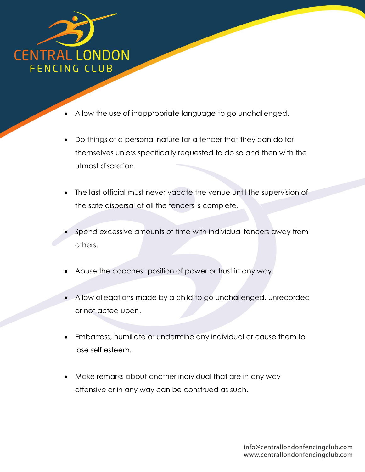

- Allow the use of inappropriate language to go unchallenged.
- Do things of a personal nature for a fencer that they can do for themselves unless specifically requested to do so and then with the utmost discretion.
- The last official must never vacate the venue until the supervision of the safe dispersal of all the fencers is complete.
- Spend excessive amounts of time with individual fencers away from others.
- Abuse the coaches' position of power or trust in any way.
- Allow allegations made by a child to go unchallenged, unrecorded or not acted upon.
- Embarrass, humiliate or undermine any individual or cause them to lose self esteem.
- Make remarks about another individual that are in any way offensive or in any way can be construed as such.